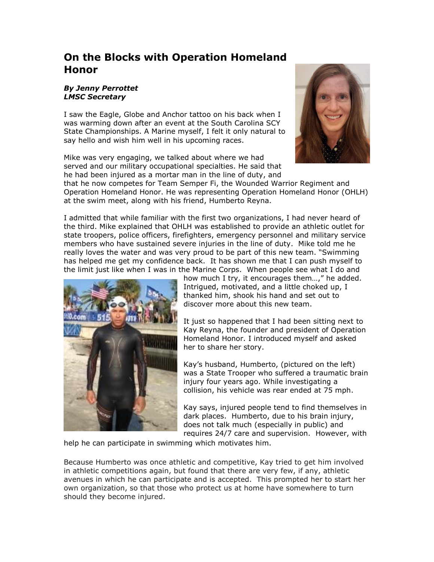## **On the Blocks with Operation Homeland Honor**

## *By Jenny Perrottet LMSC Secretary*

I saw the Eagle, Globe and Anchor tattoo on his back when I was warming down after an event at the South Carolina SCY State Championships. A Marine myself, I felt it only natural to say hello and wish him well in his upcoming races.

Mike was very engaging, we talked about where we had served and our military occupational specialties. He said that he had been injured as a mortar man in the line of duty, and



that he now competes for Team Semper Fi, the Wounded Warrior Regiment and Operation Homeland Honor. He was representing Operation Homeland Honor (OHLH) at the swim meet, along with his friend, Humberto Reyna.

I admitted that while familiar with the first two organizations, I had never heard of the third. Mike explained that OHLH was established to provide an athletic outlet for state troopers, police officers, firefighters, emergency personnel and military service members who have sustained severe injuries in the line of duty. Mike told me he really loves the water and was very proud to be part of this new team. "Swimming has helped me get my confidence back. It has shown me that I can push myself to the limit just like when I was in the Marine Corps. When people see what I do and



how much I try, it encourages them…," he added. Intrigued, motivated, and a little choked up, I thanked him, shook his hand and set out to discover more about this new team.

It just so happened that I had been sitting next to Kay Reyna, the founder and president of Operation Homeland Honor. I introduced myself and asked her to share her story.

Kay's husband, Humberto, (pictured on the left) was a State Trooper who suffered a traumatic brain injury four years ago. While investigating a collision, his vehicle was rear ended at 75 mph.

Kay says, injured people tend to find themselves in dark places. Humberto, due to his brain injury, does not talk much (especially in public) and requires 24/7 care and supervision. However, with

help he can participate in swimming which motivates him.

Because Humberto was once athletic and competitive, Kay tried to get him involved in athletic competitions again, but found that there are very few, if any, athletic avenues in which he can participate and is accepted. This prompted her to start her own organization, so that those who protect us at home have somewhere to turn should they become injured.